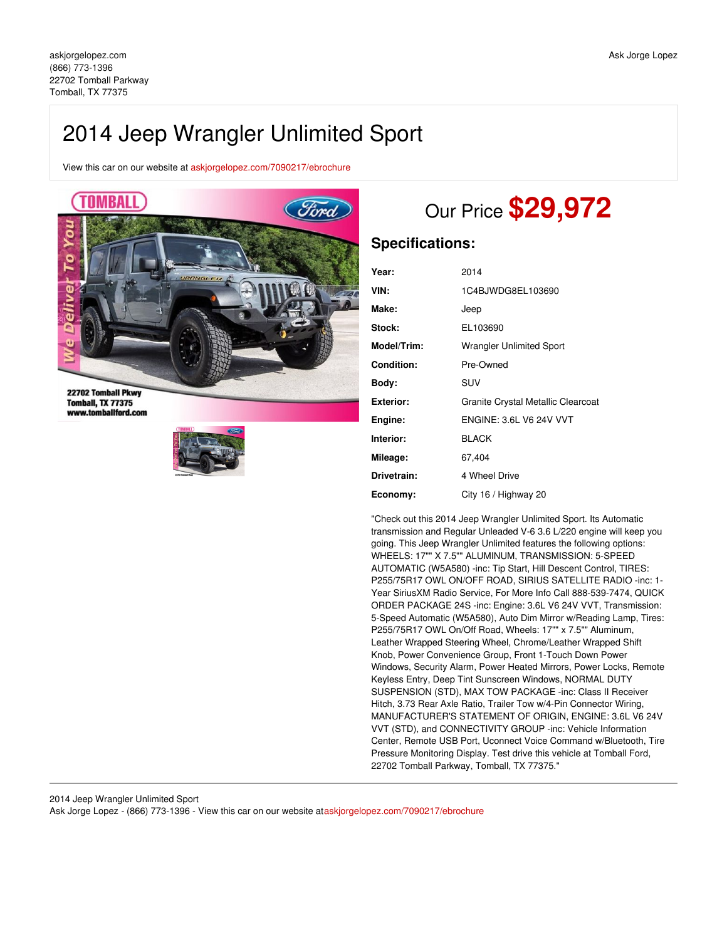# 2014 Jeep Wrangler Unlimited Sport

View this car on our website at [askjorgelopez.com/7090217/ebrochure](https://askjorgelopez.com/vehicle/7090217/2014-jeep-wrangler-unlimited-sport-tomball-tx-77375/7090217/ebrochure)



22702 Tomball Pkwy **Tomball, TX 77375** www.tomballford.com



# Our Price **\$29,972**

## **Specifications:**

| Year:            | 2014                               |
|------------------|------------------------------------|
| VIN:             | 1C4BJWDG8EL103690                  |
| Make:            | Jeep                               |
| Stock:           | EL103690                           |
| Model/Trim:      | <b>Wrangler Unlimited Sport</b>    |
| Condition:       | Pre-Owned                          |
| Body:            | SUV                                |
| <b>Exterior:</b> | Granite Crystal Metallic Clearcoat |
| Engine:          | <b>ENGINE: 3.6L V6 24V VVT</b>     |
| Interior:        | <b>BLACK</b>                       |
| Mileage:         | 67,404                             |
| Drivetrain:      | 4 Wheel Drive                      |
| Economy:         | City 16 / Highway 20               |

"Check out this 2014 Jeep Wrangler Unlimited Sport. Its Automatic transmission and Regular Unleaded V-6 3.6 L/220 engine will keep you going. This Jeep Wrangler Unlimited features the following options: WHEELS: 17"" X 7.5"" ALUMINUM, TRANSMISSION: 5-SPEED AUTOMATIC (W5A580) -inc: Tip Start, Hill Descent Control, TIRES: P255/75R17 OWL ON/OFF ROAD, SIRIUS SATELLITE RADIO -inc: 1- Year SiriusXM Radio Service, For More Info Call 888-539-7474, QUICK ORDER PACKAGE 24S -inc: Engine: 3.6L V6 24V VVT, Transmission: 5-Speed Automatic (W5A580), Auto Dim Mirror w/Reading Lamp, Tires: P255/75R17 OWL On/Off Road, Wheels: 17"" x 7.5"" Aluminum, Leather Wrapped Steering Wheel, Chrome/Leather Wrapped Shift Knob, Power Convenience Group, Front 1-Touch Down Power Windows, Security Alarm, Power Heated Mirrors, Power Locks, Remote Keyless Entry, Deep Tint Sunscreen Windows, NORMAL DUTY SUSPENSION (STD), MAX TOW PACKAGE -inc: Class II Receiver Hitch, 3.73 Rear Axle Ratio, Trailer Tow w/4-Pin Connector Wiring, MANUFACTURER'S STATEMENT OF ORIGIN, ENGINE: 3.6L V6 24V VVT (STD), and CONNECTIVITY GROUP -inc: Vehicle Information Center, Remote USB Port, Uconnect Voice Command w/Bluetooth, Tire Pressure Monitoring Display. Test drive this vehicle at Tomball Ford, 22702 Tomball Parkway, Tomball, TX 77375."

2014 Jeep Wrangler Unlimited Sport Ask Jorge Lopez - (866) 773-1396 - View this car on our website at[askjorgelopez.com/7090217/ebrochure](https://askjorgelopez.com/vehicle/7090217/2014-jeep-wrangler-unlimited-sport-tomball-tx-77375/7090217/ebrochure)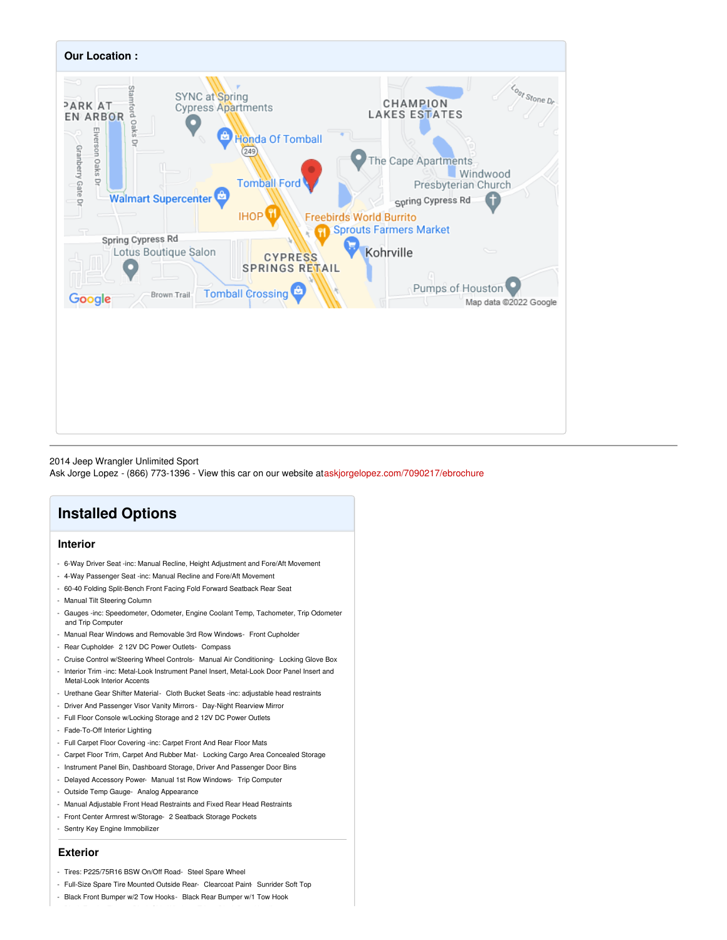

#### 2014 Jeep Wrangler Unlimited Sport

Ask Jorge Lopez - (866) 773-1396 - View this car on our website at[askjorgelopez.com/7090217/ebrochure](https://askjorgelopez.com/vehicle/7090217/2014-jeep-wrangler-unlimited-sport-tomball-tx-77375/7090217/ebrochure)

## **Installed Options**

### **Interior**

- 6-Way Driver Seat -inc: Manual Recline, Height Adjustment and Fore/Aft Movement
- 4-Way Passenger Seat -inc: Manual Recline and Fore/Aft Movement
- 60-40 Folding Split-Bench Front Facing Fold Forward Seatback Rear Seat
- Manual Tilt Steering Column
- Gauges -inc: Speedometer, Odometer, Engine Coolant Temp, Tachometer, Trip Odometer and Trip Computer
- Manual Rear Windows and Removable 3rd Row Windows- Front Cupholder
- Rear Cupholder- 2 12V DC Power Outlets- Compass
- Cruise Control w/Steering Wheel Controls- Manual Air Conditioning- Locking Glove Box
- Interior Trim -inc: Metal-Look Instrument Panel Insert, Metal-Look Door Panel Insert and Metal-Look Interior Accents
- Urethane Gear Shifter Material- Cloth Bucket Seats -inc: adjustable head restraints
- Driver And Passenger Visor Vanity Mirrors Day-Night Rearview Mirror
- Full Floor Console w/Locking Storage and 2 12V DC Power Outlets
- Fade-To-Off Interior Lighting
- Full Carpet Floor Covering -inc: Carpet Front And Rear Floor Mats
- Carpet Floor Trim, Carpet And Rubber Mat- Locking Cargo Area Concealed Storage
- Instrument Panel Bin, Dashboard Storage, Driver And Passenger Door Bins
- Delayed Accessory Power- Manual 1st Row Windows- Trip Computer
- Outside Temp Gauge- Analog Appearance
- Manual Adjustable Front Head Restraints and Fixed Rear Head Restraints
- Front Center Armrest w/Storage- 2 Seatback Storage Pockets
- Sentry Key Engine Immobilizer

#### **Exterior**

- Tires: P225/75R16 BSW On/Off Road- Steel Spare Wheel
- Full-Size Spare Tire Mounted Outside Rear- Clearcoat Paint- Sunrider Soft Top
- Black Front Bumper w/2 Tow Hooks- Black Rear Bumper w/1 Tow Hook